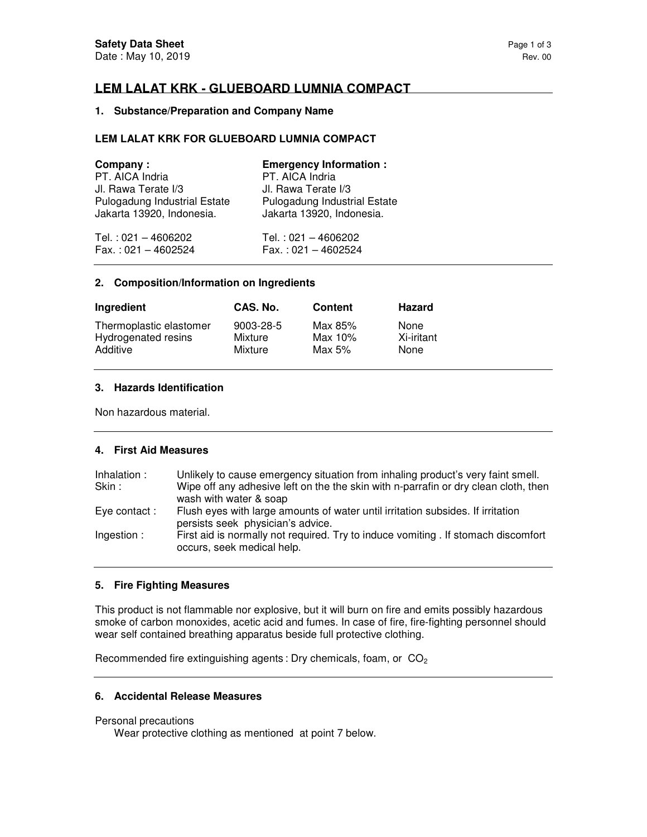# **LEM LALAT KRK - GLUEBOARD LUMNIA COMPACT**

## **1. Substance/Preparation and Company Name**

## **LEM LALAT KRK FOR GLUEBOARD LUMNIA COMPACT**

| Company:                            | <b>Emergency Information:</b> |
|-------------------------------------|-------------------------------|
| PT. AICA Indria                     | PT. AICA Indria               |
| Jl. Rawa Terate I/3                 | Jl. Rawa Terate I/3           |
| <b>Pulogadung Industrial Estate</b> | Pulogadung Industrial Estate  |
| Jakarta 13920, Indonesia.           | Jakarta 13920, Indonesia.     |
| Tel.: 021 - 4606202                 | Tel.: 021 - 4606202           |
| $Fax.: 021 - 4602524$               | $Fax.: 021 - 4602524$         |

#### **2. Composition/Information on Ingredients**

| Ingredient              | CAS. No.  | Content | <b>Hazard</b> |
|-------------------------|-----------|---------|---------------|
| Thermoplastic elastomer | 9003-28-5 | Max 85% | None          |
| Hydrogenated resins     | Mixture   | Max 10% | Xi-iritant    |
| Additive                | Mixture   | Max 5%  | None          |

## **3. Hazards Identification**

Non hazardous material.

## **4. First Aid Measures**

| Inhalation : | Unlikely to cause emergency situation from inhaling product's very faint smell.                                      |
|--------------|----------------------------------------------------------------------------------------------------------------------|
| Skin:        | Wipe off any adhesive left on the the skin with n-parrafin or dry clean cloth, then                                  |
|              | wash with water & soap                                                                                               |
| Eye contact: | Flush eyes with large amounts of water until irritation subsides. If irritation<br>persists seek physician's advice. |
| Ingestion:   | First aid is normally not required. Try to induce vomiting . If stomach discomfort<br>occurs, seek medical help.     |

## **5. Fire Fighting Measures**

This product is not flammable nor explosive, but it will burn on fire and emits possibly hazardous smoke of carbon monoxides, acetic acid and fumes. In case of fire, fire-fighting personnel should wear self contained breathing apparatus beside full protective clothing.

Recommended fire extinguishing agents : Dry chemicals, foam, or  $CO<sub>2</sub>$ 

## **6. Accidental Release Measures**

### Personal precautions

Wear protective clothing as mentioned at point 7 below.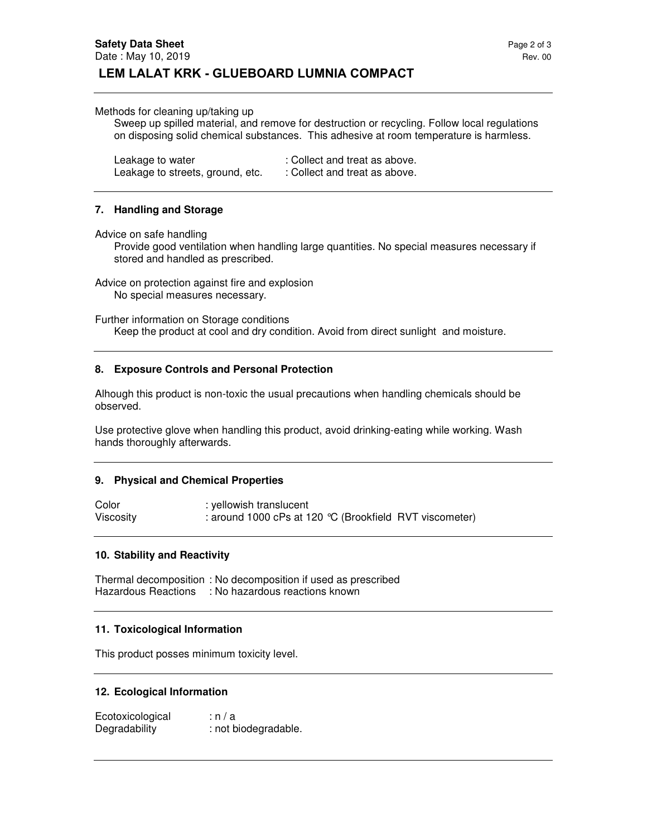#### Methods for cleaning up/taking up

Sweep up spilled material, and remove for destruction or recycling. Follow local regulations on disposing solid chemical substances. This adhesive at room temperature is harmless.

| Leakage to water                 | : Collect and treat as above. |
|----------------------------------|-------------------------------|
| Leakage to streets, ground, etc. | : Collect and treat as above. |

#### **7. Handling and Storage**

Advice on safe handling

Provide good ventilation when handling large quantities. No special measures necessary if stored and handled as prescribed.

Advice on protection against fire and explosion No special measures necessary.

Further information on Storage conditions Keep the product at cool and dry condition. Avoid from direct sunlight and moisture.

#### **8. Exposure Controls and Personal Protection**

Alhough this product is non-toxic the usual precautions when handling chemicals should be observed.

Use protective glove when handling this product, avoid drinking-eating while working. Wash hands thoroughly afterwards.

#### **9. Physical and Chemical Properties**

Color : yellowish translucent Viscosity : around 1000 cPs at 120 °C (Brookfield RVT viscometer)

#### **10. Stability and Reactivity**

Thermal decomposition : No decomposition if used as prescribed Hazardous Reactions : No hazardous reactions known

### **11. Toxicological Information**

This product posses minimum toxicity level.

#### **12. Ecological Information**

Ecotoxicological : n / a Degradability : not biodegradable.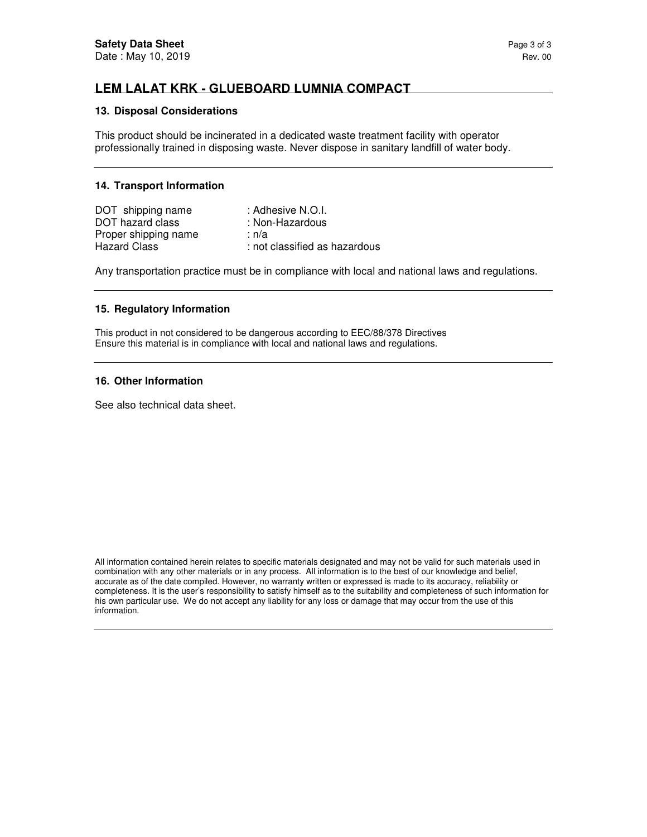# **LEM LALAT KRK - GLUEBOARD LUMNIA COMPACT**

#### **13. Disposal Considerations**

This product should be incinerated in a dedicated waste treatment facility with operator professionally trained in disposing waste. Never dispose in sanitary landfill of water body.

### **14. Transport Information**

| DOT shipping name    | : Adhesive N.O.I.             |
|----------------------|-------------------------------|
| DOT hazard class     | : Non-Hazardous               |
| Proper shipping name | ∶n/a                          |
| <b>Hazard Class</b>  | : not classified as hazardous |

Any transportation practice must be in compliance with local and national laws and regulations.

#### **15. Regulatory Information**

This product in not considered to be dangerous according to EEC/88/378 Directives Ensure this material is in compliance with local and national laws and regulations.

#### **16. Other Information**

See also technical data sheet.

All information contained herein relates to specific materials designated and may not be valid for such materials used in combination with any other materials or in any process. All information is to the best of our knowledge and belief, accurate as of the date compiled. However, no warranty written or expressed is made to its accuracy, reliability or completeness. It is the user's responsibility to satisfy himself as to the suitability and completeness of such information for his own particular use. We do not accept any liability for any loss or damage that may occur from the use of this information.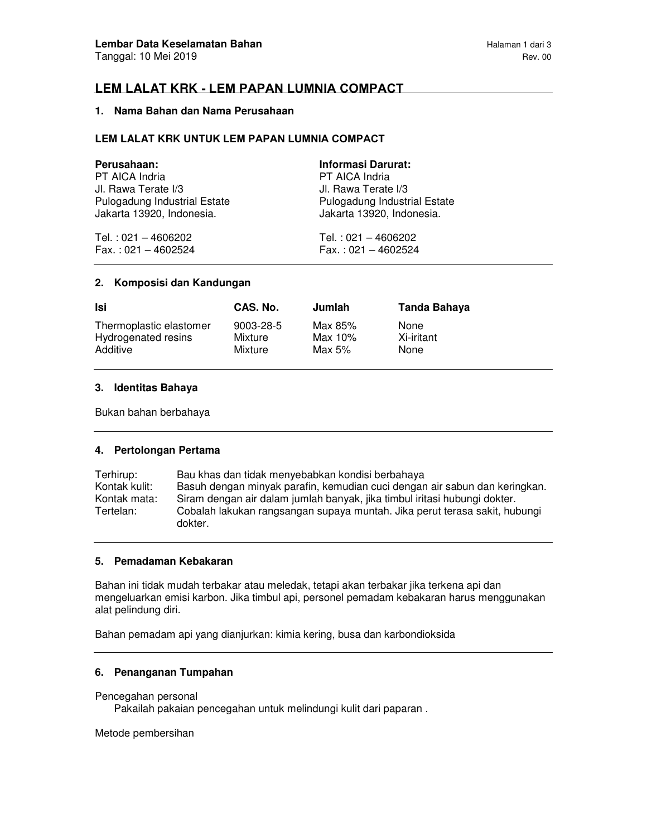# **LEM LALAT KRK - LEM PAPAN LUMNIA COMPACT**

## **1. Nama Bahan dan Nama Perusahaan**

## **LEM LALAT KRK UNTUK LEM PAPAN LUMNIA COMPACT**

| Perusahaan:                  | <b>Informasi Darurat:</b>    |
|------------------------------|------------------------------|
| PT AICA Indria               | PT AICA Indria               |
| Jl. Rawa Terate I/3          | Jl. Rawa Terate I/3          |
| Pulogadung Industrial Estate | Pulogadung Industrial Estate |
| Jakarta 13920, Indonesia.    | Jakarta 13920, Indonesia.    |
| Tel.: 021 - 4606202          | Tel.: 021 - 4606202          |
| $Fax.: 021 - 4602524$        | $Fax.: 021 - 4602524$        |

#### **2. Komposisi dan Kandungan**

| Isi                     | CAS. No.  | Jumlah     | Tanda Bahaya |
|-------------------------|-----------|------------|--------------|
| Thermoplastic elastomer | 9003-28-5 | Max 85%    | <b>None</b>  |
| Hydrogenated resins     | Mixture   | Max $10\%$ | Xi-iritant   |
| Additive                | Mixture   | Max 5%     | None         |

#### **3. Identitas Bahaya**

Bukan bahan berbahaya

## **4. Pertolongan Pertama**

Terhirup: Bau khas dan tidak menyebabkan kondisi berbahaya Kontak kulit: Basuh dengan minyak parafin, kemudian cuci dengan air sabun dan keringkan. Kontak mata: Siram dengan air dalam jumlah banyak, jika timbul iritasi hubungi dokter. Cobalah lakukan rangsangan supaya muntah. Jika perut terasa sakit, hubungi dokter.

## **5. Pemadaman Kebakaran**

Bahan ini tidak mudah terbakar atau meledak, tetapi akan terbakar jika terkena api dan mengeluarkan emisi karbon. Jika timbul api, personel pemadam kebakaran harus menggunakan alat pelindung diri.

Bahan pemadam api yang dianjurkan: kimia kering, busa dan karbondioksida

## **6. Penanganan Tumpahan**

#### Pencegahan personal

Pakailah pakaian pencegahan untuk melindungi kulit dari paparan .

Metode pembersihan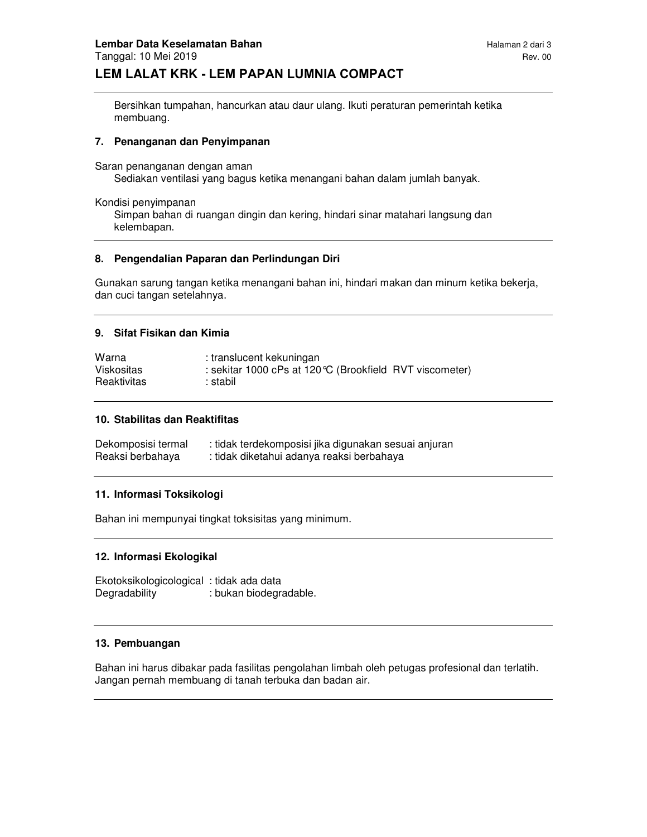Bersihkan tumpahan, hancurkan atau daur ulang. Ikuti peraturan pemerintah ketika membuang.

## **7. Penanganan dan Penyimpanan**

Saran penanganan dengan aman

Sediakan ventilasi yang bagus ketika menangani bahan dalam jumlah banyak.

Kondisi penyimpanan

Simpan bahan di ruangan dingin dan kering, hindari sinar matahari langsung dan kelembapan.

## **8. Pengendalian Paparan dan Perlindungan Diri**

Gunakan sarung tangan ketika menangani bahan ini, hindari makan dan minum ketika bekerja, dan cuci tangan setelahnya.

## **9. Sifat Fisikan dan Kimia**

| Warna       | : translucent kekuningan                                 |
|-------------|----------------------------------------------------------|
| Viskositas  | : sekitar 1000 cPs at 120 °C (Brookfield RVT viscometer) |
| Reaktivitas | : stabil                                                 |

## **10. Stabilitas dan Reaktifitas**

| Dekomposisi termal | : tidak terdekomposisi jika digunakan sesuai anjuran |
|--------------------|------------------------------------------------------|
| Reaksi berbahaya   | : tidak diketahui adanya reaksi berbahaya            |

## **11. Informasi Toksikologi**

Bahan ini mempunyai tingkat toksisitas yang minimum.

## **12. Informasi Ekologikal**

Ekotoksikologicological : tidak ada data Degradability : bukan biodegradable.

## **13. Pembuangan**

Bahan ini harus dibakar pada fasilitas pengolahan limbah oleh petugas profesional dan terlatih. Jangan pernah membuang di tanah terbuka dan badan air.